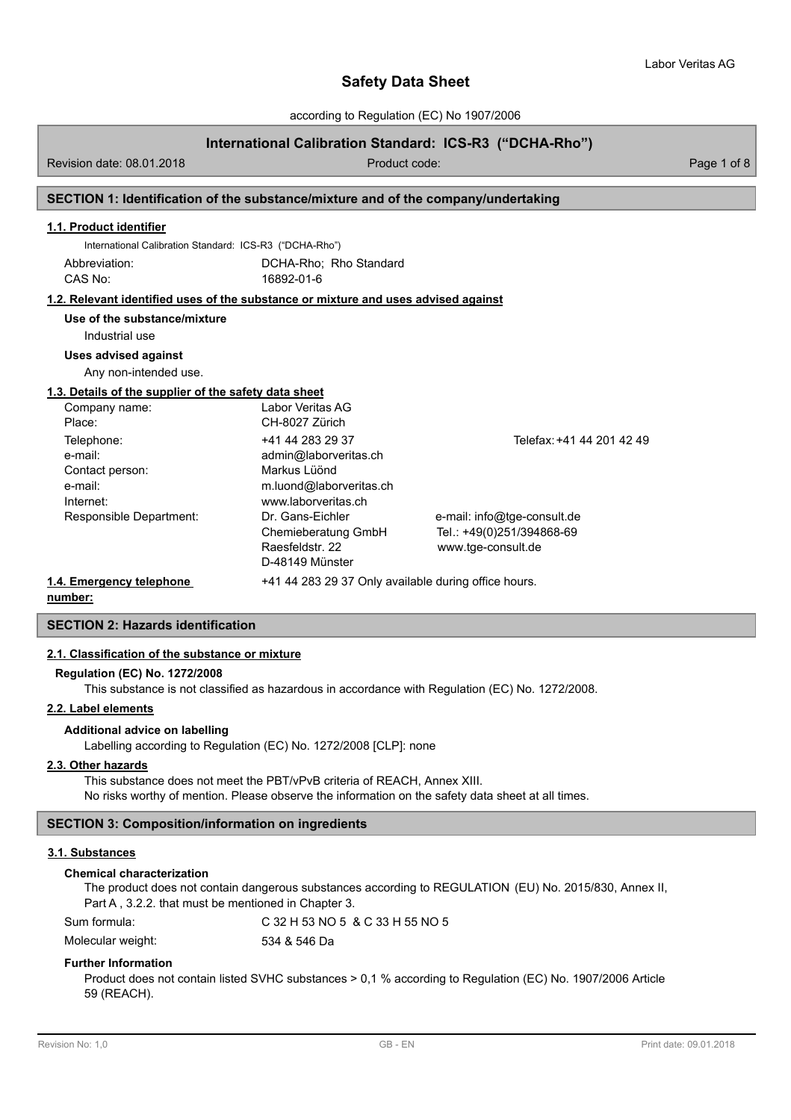according to Regulation (EC) No 1907/2006

# **International Calibration Standard: ICS-R3 ("DCHA-Rho")**

Revision date: 08.01.2018 **Product code:** Product code: Product code: Page 1 of 8

# **SECTION 1: Identification of the substance/mixture and of the company/undertaking**

# **1.1. Product identifier**

International Calibration Standard: ICS-R3 ("DCHA-Rho")

Abbreviation: DCHA-Rho; Rho Standard CAS No: 16892-01-6

# **1.2. Relevant identified uses of the substance or mixture and uses advised against**

**Use of the substance/mixture**

Industrial use

#### **Uses advised against**

Any non-intended use.

### **1.3. Details of the supplier of the safety data sheet**

| Company name:                                                    | Labor Veritas AG                                                                                            |                                                                                |
|------------------------------------------------------------------|-------------------------------------------------------------------------------------------------------------|--------------------------------------------------------------------------------|
| Place:                                                           | CH-8027 Zürich                                                                                              |                                                                                |
| Telephone:<br>e-mail:<br>Contact person:<br>e-mail:<br>Internet: | +41 44 283 29 37<br>admin@laborveritas.ch<br>Markus Lüönd<br>m.luond@laborveritas.ch<br>www.laborveritas.ch | Telefax: +41 44 201 42 49                                                      |
| Responsible Department:                                          | Dr. Gans-Eichler<br>Chemieberatung GmbH<br>Raesfeldstr. 22<br>D-48149 Münster                               | e-mail: info@tge-consult.de<br>Tel.: +49(0)251/394868-69<br>www.tge-consult.de |
| 1.4. Emergency telephone                                         | +41 44 283 29 37 Only available during office hours.                                                        |                                                                                |

**number:**

**SECTION 2: Hazards identification**

# **2.1. Classification of the substance or mixture**

#### **Regulation (EC) No. 1272/2008**

This substance is not classified as hazardous in accordance with Regulation (EC) No. 1272/2008.

#### **2.2. Label elements**

### **Additional advice on labelling**

Labelling according to Regulation (EC) No. 1272/2008 [CLP]: none

# **2.3. Other hazards**

This substance does not meet the PBT/vPvB criteria of REACH, Annex XIII. No risks worthy of mention. Please observe the information on the safety data sheet at all times.

### **SECTION 3: Composition/information on ingredients**

#### **3.1. Substances**

### **Chemical characterization**

The product does not contain dangerous substances according to REGULATION (EU) No. 2015/830, Annex II, Part A , 3.2.2. that must be mentioned in Chapter 3.

| Sum formula:      | C 32 H 53 NO 5 & C 33 H 55 NO 5 |
|-------------------|---------------------------------|
| Molecular weight: | 534 & 546 Da                    |

### **Further Information**

Product does not contain listed SVHC substances > 0,1 % according to Regulation (EC) No. 1907/2006 Article 59 (REACH).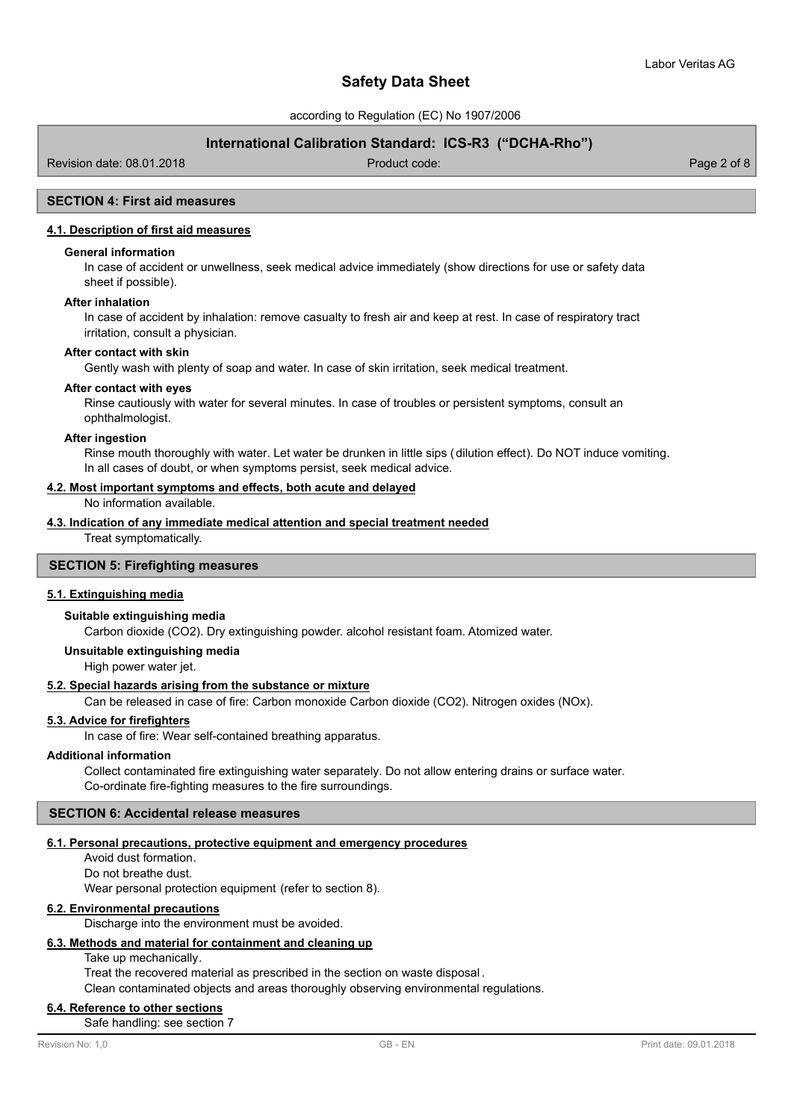according to Regulation (EC) No 1907/2006

# **International Calibration Standard: ICS-R3 ("DCHA-Rho")**

Revision date: 08.01.2018 Product code: Page 2 of 8

# **SECTION 4: First aid measures**

# **4.1. Description of first aid measures**

#### **General information**

In case of accident or unwellness, seek medical advice immediately (show directions for use or safety data sheet if possible).

#### **After inhalation**

In case of accident by inhalation: remove casualty to fresh air and keep at rest. In case of respiratory tract irritation, consult a physician.

#### **After contact with skin**

Gently wash with plenty of soap and water. In case of skin irritation, seek medical treatment.

#### **After contact with eyes**

Rinse cautiously with water for several minutes. In case of troubles or persistent symptoms, consult an ophthalmologist.

#### **After ingestion**

Rinse mouth thoroughly with water. Let water be drunken in little sips (dilution effect). Do NOT induce vomiting. In all cases of doubt, or when symptoms persist, seek medical advice.

# **4.2. Most important symptoms and effects, both acute and delayed**

No information available.

### **4.3. Indication of any immediate medical attention and special treatment needed**

Treat symptomatically.

# **SECTION 5: Firefighting measures**

#### **5.1. Extinguishing media**

#### **Suitable extinguishing media**

Carbon dioxide (CO2). Dry extinguishing powder. alcohol resistant foam. Atomized water.

#### **Unsuitable extinguishing media**

High power water jet.

# **5.2. Special hazards arising from the substance or mixture**

Can be released in case of fire: Carbon monoxide Carbon dioxide (CO2). Nitrogen oxides (NOx).

#### **5.3. Advice for firefighters**

In case of fire: Wear self-contained breathing apparatus.

# **Additional information**

Collect contaminated fire extinguishing water separately. Do not allow entering drains or surface water. Co-ordinate fire-fighting measures to the fire surroundings.

# **SECTION 6: Accidental release measures**

#### **6.1. Personal precautions, protective equipment and emergency procedures**

Avoid dust formation. Do not breathe dust. Wear personal protection equipment (refer to section 8).

# **6.2. Environmental precautions**

Discharge into the environment must be avoided.

### **6.3. Methods and material for containment and cleaning up**

Take up mechanically.

Treat the recovered material as prescribed in the section on waste disposal . Clean contaminated objects and areas thoroughly observing environmental regulations.

#### **6.4. Reference to other sections**

Safe handling: see section 7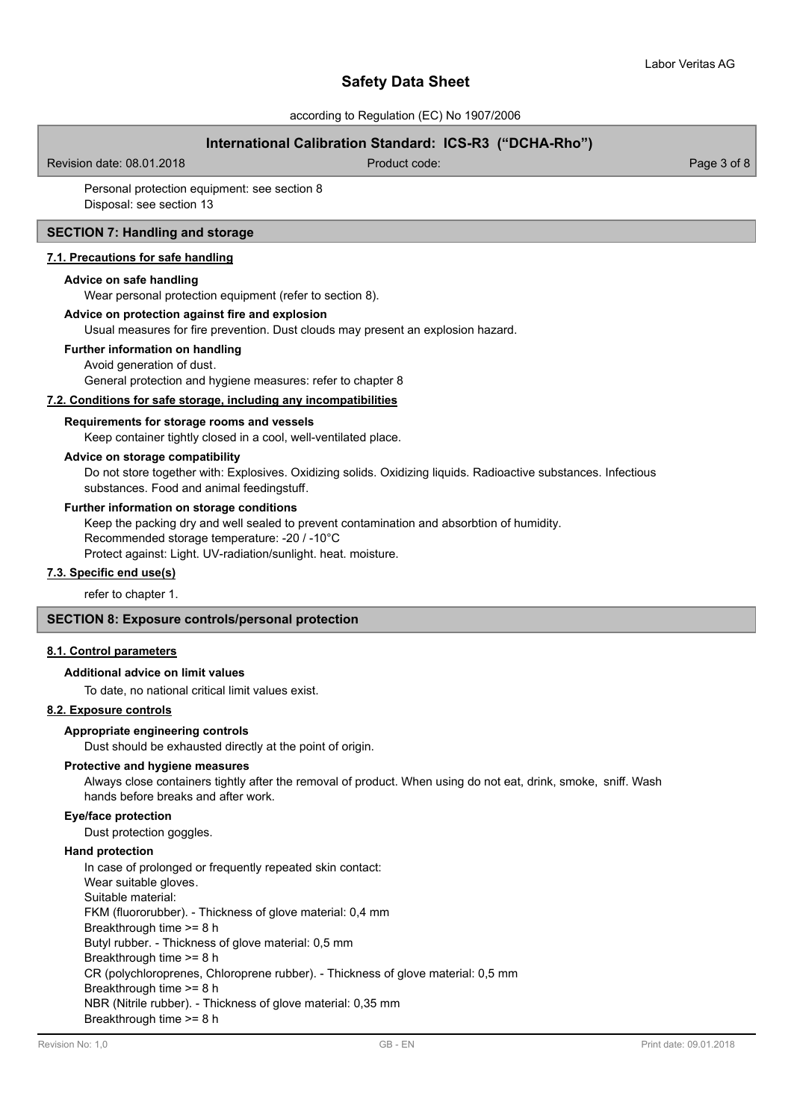according to Regulation (EC) No 1907/2006

# **International Calibration Standard: ICS-R3 ("DCHA-Rho")**

Revision date: 08.01.2018 Product code: Page 3 of 8

Personal protection equipment: see section 8 Disposal: see section 13

# **SECTION 7: Handling and storage**

# **7.1. Precautions for safe handling**

### **Advice on safe handling**

Wear personal protection equipment (refer to section 8).

# **Advice on protection against fire and explosion**

Usual measures for fire prevention. Dust clouds may present an explosion hazard.

#### **Further information on handling**

Avoid generation of dust. General protection and hygiene measures: refer to chapter 8

#### **7.2. Conditions for safe storage, including any incompatibilities**

# **Requirements for storage rooms and vessels**

Keep container tightly closed in a cool, well-ventilated place.

### **Advice on storage compatibility**

Do not store together with: Explosives. Oxidizing solids. Oxidizing liquids. Radioactive substances. Infectious substances. Food and animal feedingstuff.

#### **Further information on storage conditions**

Keep the packing dry and well sealed to prevent contamination and absorbtion of humidity. Recommended storage temperature: -20 / -10°C

Protect against: Light. UV-radiation/sunlight. heat. moisture.

### **7.3. Specific end use(s)**

refer to chapter 1.

# **SECTION 8: Exposure controls/personal protection**

#### **8.1. Control parameters**

#### **Additional advice on limit values**

To date, no national critical limit values exist.

# **8.2. Exposure controls**

#### **Appropriate engineering controls**

Dust should be exhausted directly at the point of origin.

#### **Protective and hygiene measures**

Always close containers tightly after the removal of product. When using do not eat, drink, smoke, sniff. Wash hands before breaks and after work.

#### **Eye/face protection**

Dust protection goggles.

# **Hand protection**

In case of prolonged or frequently repeated skin contact: Wear suitable gloves. Suitable material: FKM (fluororubber). - Thickness of glove material: 0,4 mm Breakthrough time >= 8 h Butyl rubber. - Thickness of glove material: 0,5 mm Breakthrough time >= 8 h CR (polychloroprenes, Chloroprene rubber). - Thickness of glove material: 0,5 mm Breakthrough time >= 8 h NBR (Nitrile rubber). - Thickness of glove material: 0,35 mm Breakthrough time >= 8 h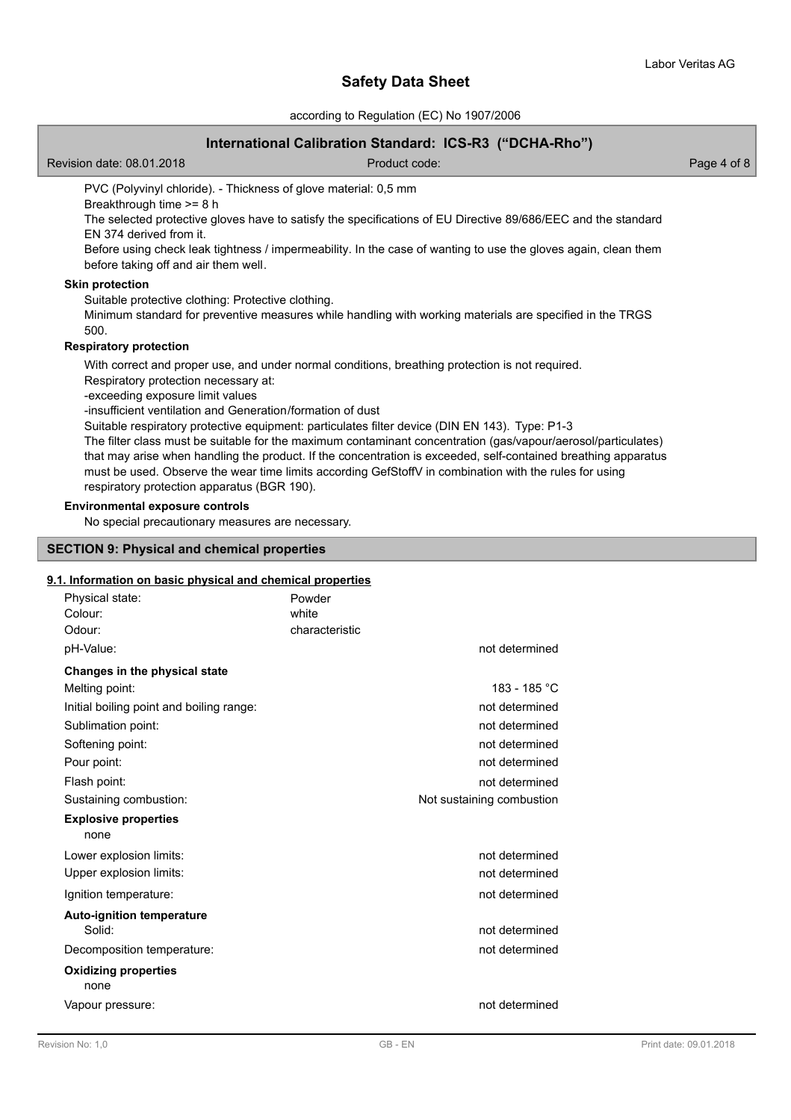according to Regulation (EC) No 1907/2006

# **International Calibration Standard: ICS-R3 ("DCHA-Rho")**

Revision date: 08.01.2018 Product code: Page 4 of 8

PVC (Polyvinyl chloride). - Thickness of glove material: 0,5 mm

Breakthrough time >= 8 h

The selected protective gloves have to satisfy the specifications of EU Directive 89/686/EEC and the standard EN 374 derived from it.

Before using check leak tightness / impermeability. In the case of wanting to use the gloves again, clean them before taking off and air them well.

# **Skin protection**

Suitable protective clothing: Protective clothing.

Minimum standard for preventive measures while handling with working materials are specified in the TRGS

# 500.

# **Respiratory protection**

With correct and proper use, and under normal conditions, breathing protection is not required. Respiratory protection necessary at:

-exceeding exposure limit values

-insufficient ventilation and Generation/formation of dust

Suitable respiratory protective equipment: particulates filter device (DIN EN 143). Type: P1-3

The filter class must be suitable for the maximum contaminant concentration (gas/vapour/aerosol/particulates) that may arise when handling the product. If the concentration is exceeded, self-contained breathing apparatus must be used. Observe the wear time limits according GefStoffV in combination with the rules for using respiratory protection apparatus (BGR 190).

# **Environmental exposure controls**

No special precautionary measures are necessary.

# **SECTION 9: Physical and chemical properties**

# **9.1. Information on basic physical and chemical properties**

| Powder         |                           |
|----------------|---------------------------|
| white          |                           |
| characteristic |                           |
|                | not determined            |
|                |                           |
|                | 183 - 185 °C              |
|                | not determined            |
|                | not determined            |
|                | not determined            |
|                | not determined            |
|                | not determined            |
|                | Not sustaining combustion |
|                |                           |
|                | not determined            |
|                | not determined            |
|                | not determined            |
|                | not determined            |
|                | not determined            |
|                |                           |
|                | not determined            |
|                |                           |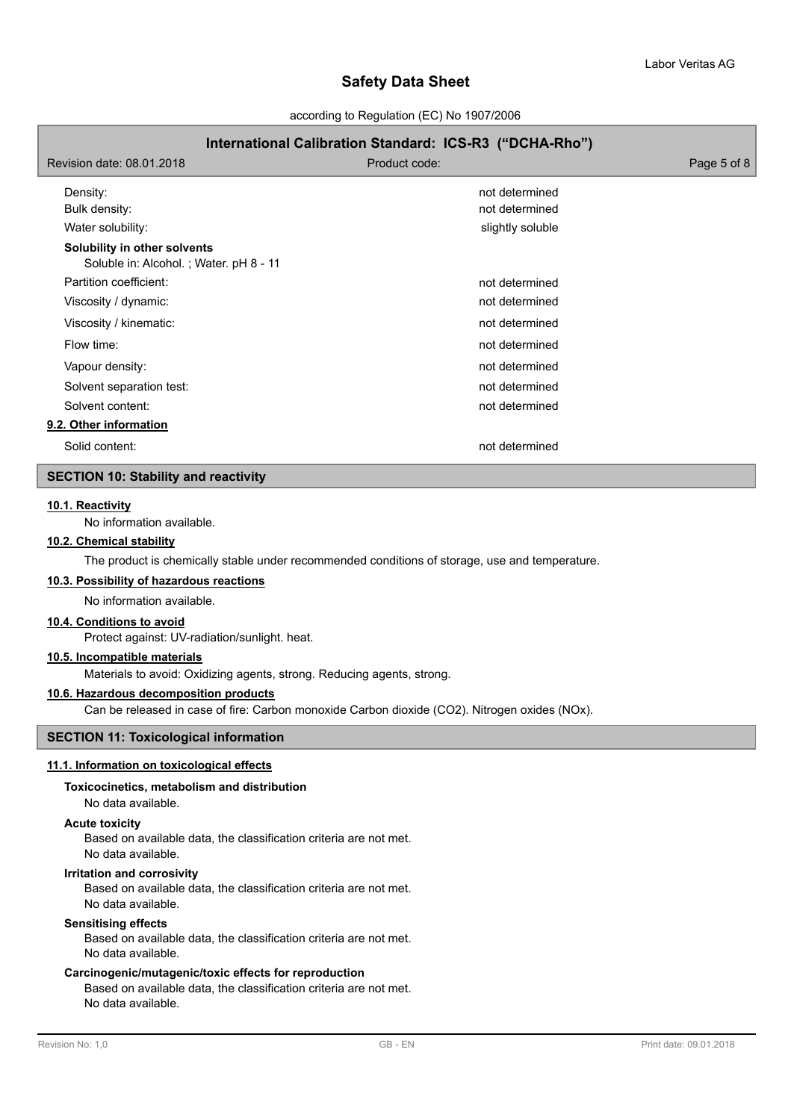according to Regulation (EC) No 1907/2006

# **International Calibration Standard: ICS-R3 ("DCHA-Rho")**

| Revision date: 08.01.2018                                              | Product code:    | Page 5 of 8 |
|------------------------------------------------------------------------|------------------|-------------|
| Density:                                                               | not determined   |             |
| Bulk density:                                                          | not determined   |             |
| Water solubility:                                                      | slightly soluble |             |
| Solubility in other solvents<br>Soluble in: Alcohol.; Water. pH 8 - 11 |                  |             |
| Partition coefficient:                                                 | not determined   |             |
| Viscosity / dynamic:                                                   | not determined   |             |
| Viscosity / kinematic:                                                 | not determined   |             |
| Flow time:                                                             | not determined   |             |
| Vapour density:                                                        | not determined   |             |
| Solvent separation test:                                               | not determined   |             |
| Solvent content:                                                       | not determined   |             |
| 9.2. Other information                                                 |                  |             |
| Solid content:                                                         | not determined   |             |
| <b>SECTION 10: Stability and reactivity</b>                            |                  |             |

# **10.1. Reactivity**

No information available.

# **10.2. Chemical stability**

The product is chemically stable under recommended conditions of storage, use and temperature.

### **10.3. Possibility of hazardous reactions**

No information available.

# **10.4. Conditions to avoid**

Protect against: UV-radiation/sunlight. heat.

# **10.5. Incompatible materials**

Materials to avoid: Oxidizing agents, strong. Reducing agents, strong.

# **10.6. Hazardous decomposition products**

Can be released in case of fire: Carbon monoxide Carbon dioxide (CO2). Nitrogen oxides (NOx).

# **SECTION 11: Toxicological information**

# **11.1. Information on toxicological effects**

### **Toxicocinetics, metabolism and distribution**

No data available.

### **Acute toxicity**

Based on available data, the classification criteria are not met. No data available.

#### **Irritation and corrosivity**

Based on available data, the classification criteria are not met. No data available.

# **Sensitising effects**

Based on available data, the classification criteria are not met. No data available.

# **Carcinogenic/mutagenic/toxic effects for reproduction**

Based on available data, the classification criteria are not met. No data available.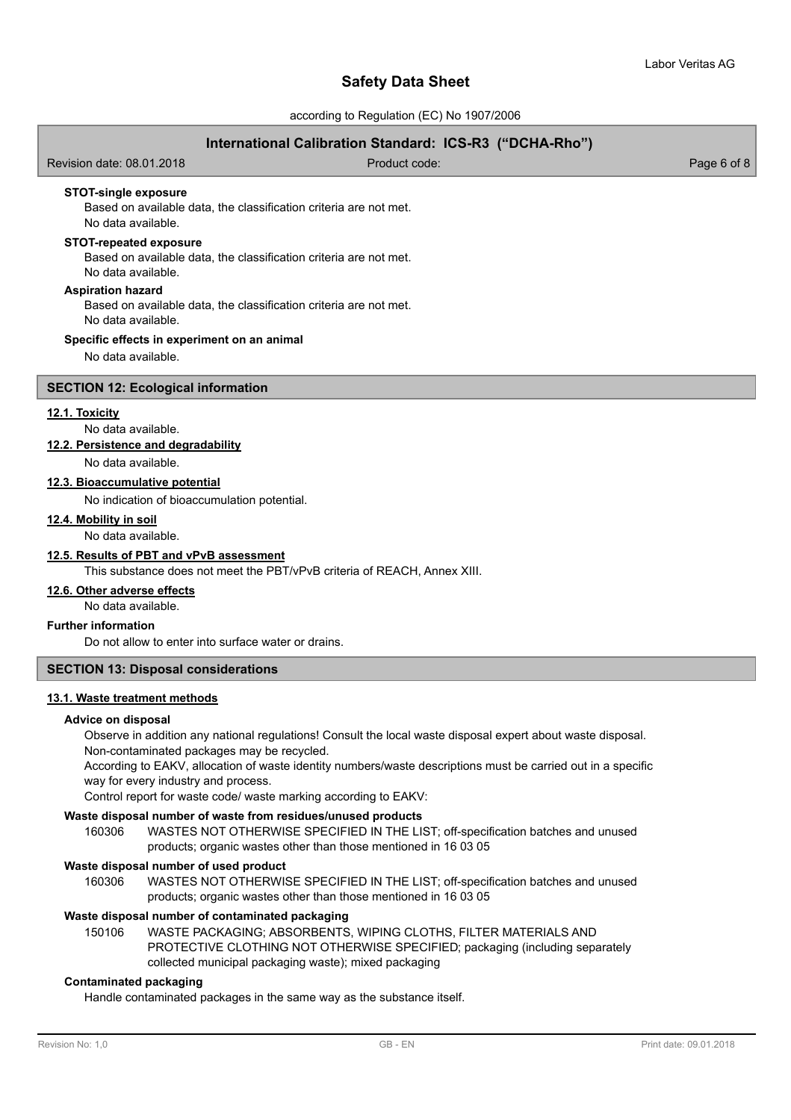according to Regulation (EC) No 1907/2006

# **International Calibration Standard: ICS-R3 ("DCHA-Rho")**

Revision date: 08.01.2018 Product code: Page 6 of 8 **STOT-single exposure** Based on available data, the classification criteria are not met. No data available. Based on available data, the classification criteria are not met. No data available. **STOT-repeated exposure Aspiration hazard** Based on available data, the classification criteria are not met. No data available. No data available. **Specific effects in experiment on an animal SECTION 12: Ecological information 12.1. Toxicity** No data available. **12.2. Persistence and degradability** No data available. **12.3. Bioaccumulative potential** No indication of bioaccumulation potential. No data available. **12.4. Mobility in soil 12.5. Results of PBT and vPvB assessment**

This substance does not meet the PBT/vPvB criteria of REACH, Annex XIII.

#### **12.6. Other adverse effects**

No data available.

### **Further information**

Do not allow to enter into surface water or drains.

# **SECTION 13: Disposal considerations**

#### **13.1. Waste treatment methods**

#### **Advice on disposal**

Observe in addition any national regulations! Consult the local waste disposal expert about waste disposal. Non-contaminated packages may be recycled.

According to EAKV, allocation of waste identity numbers/waste descriptions must be carried out in a specific way for every industry and process.

Control report for waste code/ waste marking according to EAKV:

# **Waste disposal number of waste from residues/unused products**

160306 WASTES NOT OTHERWISE SPECIFIED IN THE LIST; off-specification batches and unused products; organic wastes other than those mentioned in 16 03 05

# **Waste disposal number of used product**

WASTES NOT OTHERWISE SPECIFIED IN THE LIST; off-specification batches and unused products; organic wastes other than those mentioned in 16 03 05 160306

# **Waste disposal number of contaminated packaging**

WASTE PACKAGING; ABSORBENTS, WIPING CLOTHS, FILTER MATERIALS AND PROTECTIVE CLOTHING NOT OTHERWISE SPECIFIED; packaging (including separately collected municipal packaging waste); mixed packaging 150106

# **Contaminated packaging**

Handle contaminated packages in the same way as the substance itself.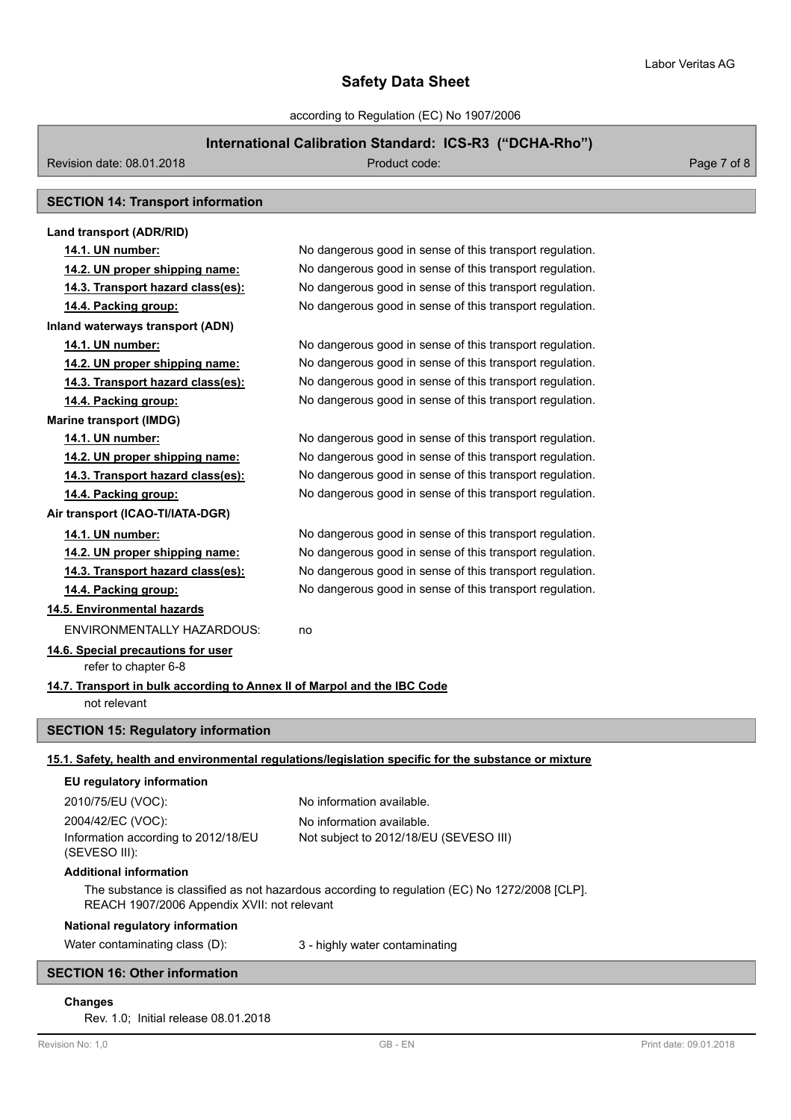according to Regulation (EC) No 1907/2006

# **International Calibration Standard: ICS-R3 ("DCHA-Rho")**

Revision date: 08.01.2018 **Product code:** Product code: Product code: Page 7 of 8

# **SECTION 14: Transport information**

| Land transport (ADR/RID)                                                                                                                     |                                                                                                      |  |
|----------------------------------------------------------------------------------------------------------------------------------------------|------------------------------------------------------------------------------------------------------|--|
| 14.1. UN number:                                                                                                                             | No dangerous good in sense of this transport regulation.                                             |  |
| 14.2. UN proper shipping name:                                                                                                               | No dangerous good in sense of this transport regulation.                                             |  |
| 14.3. Transport hazard class(es):                                                                                                            | No dangerous good in sense of this transport regulation.                                             |  |
| 14.4. Packing group:                                                                                                                         | No dangerous good in sense of this transport regulation.                                             |  |
| Inland waterways transport (ADN)                                                                                                             |                                                                                                      |  |
| 14.1. UN number:                                                                                                                             | No dangerous good in sense of this transport regulation.                                             |  |
| 14.2. UN proper shipping name:                                                                                                               | No dangerous good in sense of this transport regulation.                                             |  |
| 14.3. Transport hazard class(es):                                                                                                            | No dangerous good in sense of this transport regulation.                                             |  |
| 14.4. Packing group:                                                                                                                         | No dangerous good in sense of this transport regulation.                                             |  |
| <b>Marine transport (IMDG)</b>                                                                                                               |                                                                                                      |  |
| 14.1. UN number:                                                                                                                             | No dangerous good in sense of this transport regulation.                                             |  |
| 14.2. UN proper shipping name:                                                                                                               | No dangerous good in sense of this transport regulation.                                             |  |
| 14.3. Transport hazard class(es):                                                                                                            | No dangerous good in sense of this transport regulation.                                             |  |
| 14.4. Packing group:                                                                                                                         | No dangerous good in sense of this transport regulation.                                             |  |
| Air transport (ICAO-TI/IATA-DGR)                                                                                                             |                                                                                                      |  |
| 14.1. UN number:                                                                                                                             | No dangerous good in sense of this transport regulation.                                             |  |
| 14.2. UN proper shipping name:                                                                                                               | No dangerous good in sense of this transport regulation.                                             |  |
| 14.3. Transport hazard class(es):                                                                                                            | No dangerous good in sense of this transport regulation.                                             |  |
| 14.4. Packing group:                                                                                                                         | No dangerous good in sense of this transport regulation.                                             |  |
| 14.5. Environmental hazards                                                                                                                  |                                                                                                      |  |
| <b>ENVIRONMENTALLY HAZARDOUS:</b>                                                                                                            | no                                                                                                   |  |
| 14.6. Special precautions for user                                                                                                           |                                                                                                      |  |
| refer to chapter 6-8                                                                                                                         |                                                                                                      |  |
| 14.7. Transport in bulk according to Annex II of Marpol and the IBC Code                                                                     |                                                                                                      |  |
| not relevant                                                                                                                                 |                                                                                                      |  |
| <b>SECTION 15: Regulatory information</b>                                                                                                    |                                                                                                      |  |
|                                                                                                                                              | 15.1. Safety, health and environmental regulations/legislation specific for the substance or mixture |  |
| EU regulatory information                                                                                                                    |                                                                                                      |  |
| 2010/75/EU (VOC):                                                                                                                            | No information available.                                                                            |  |
| 2004/42/EC (VOC):                                                                                                                            | No information available.                                                                            |  |
| Information according to 2012/18/EU                                                                                                          | Not subject to 2012/18/EU (SEVESO III)                                                               |  |
| (SEVESO III):                                                                                                                                |                                                                                                      |  |
| <b>Additional information</b>                                                                                                                |                                                                                                      |  |
| The substance is classified as not hazardous according to regulation (EC) No 1272/2008 [CLP].<br>REACH 1907/2006 Appendix XVII: not relevant |                                                                                                      |  |
| National regulatory information                                                                                                              |                                                                                                      |  |
| Water contaminating class (D):                                                                                                               | 3 - highly water contaminating                                                                       |  |
| <b>SECTION 16: Other information</b>                                                                                                         |                                                                                                      |  |
|                                                                                                                                              |                                                                                                      |  |

# **Changes**

Rev. 1.0; Initial release 08.01.2018